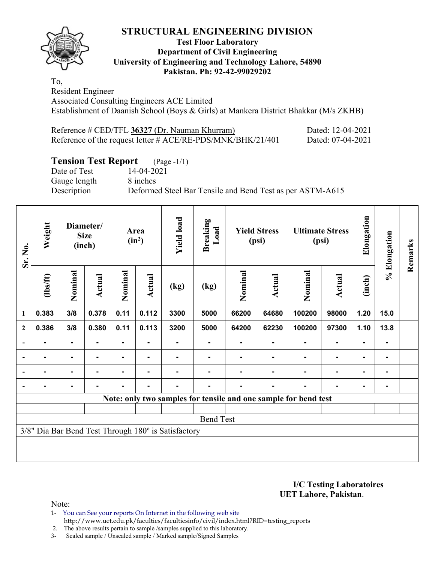## **STRUCTURAL ENGINEERING DIVISION**

## **Test Floor Laboratory Department of Civil Engineering University of Engineering and Technology Lahore, 54890 Pakistan. Ph: 92-42-99029202**

To, Resident Engineer Associated Consulting Engineers ACE Limited Establishment of Daanish School (Boys & Girls) at Mankera District Bhakkar (M/s ZKHB)

| Reference # CED/TFL 36327 (Dr. Nauman Khurram)                 | Dated: 12-04-2021 |
|----------------------------------------------------------------|-------------------|
| Reference of the request letter $\#$ ACE/RE-PDS/MNK/BHK/21/401 | Dated: 07-04-2021 |

# **Tension Test Report** (Page -1/1)

Date of Test 14-04-2021 Gauge length 8 inches

Description Deformed Steel Bar Tensile and Bend Test as per ASTM-A615

| Sr. No.                                             | Weight                                                          | Diameter/<br><b>Size</b><br>(inch) |               |                |                |      | <b>Yield load</b><br>Area<br>$(in^2)$ |         | <b>Breaking</b><br>Load | <b>Yield Stress</b><br>(psi) |                | <b>Ultimate Stress</b><br>(psi) |      | Elongation | % Elongation | Remarks |
|-----------------------------------------------------|-----------------------------------------------------------------|------------------------------------|---------------|----------------|----------------|------|---------------------------------------|---------|-------------------------|------------------------------|----------------|---------------------------------|------|------------|--------------|---------|
|                                                     | (1bs/ft)                                                        | Nominal                            | <b>Actual</b> | Nominal        | Actual         | (kg) | (kg)                                  | Nominal | Actual                  | Nominal                      | <b>Actual</b>  | (inch)                          |      |            |              |         |
| 1                                                   | 0.383                                                           | 3/8                                | 0.378         | 0.11           | 0.112          | 3300 | 5000                                  | 66200   | 64680                   | 100200                       | 98000          | 1.20                            | 15.0 |            |              |         |
| $\boldsymbol{2}$                                    | 0.386                                                           | 3/8                                | 0.380         | 0.11           | 0.113          | 3200 | 5000                                  | 64200   | 62230                   | 100200                       | 97300          | 1.10                            | 13.8 |            |              |         |
|                                                     |                                                                 |                                    |               |                |                |      |                                       |         |                         |                              |                |                                 |      |            |              |         |
|                                                     |                                                                 | $\blacksquare$                     |               |                | $\blacksquare$ |      |                                       |         |                         |                              | $\blacksquare$ | $\blacksquare$                  |      |            |              |         |
|                                                     |                                                                 | $\blacksquare$                     |               | $\blacksquare$ | $\blacksquare$ |      |                                       |         |                         |                              | $\blacksquare$ | $\blacksquare$                  |      |            |              |         |
|                                                     |                                                                 | $\blacksquare$                     |               | $\blacksquare$ | $\blacksquare$ |      |                                       |         |                         |                              | $\blacksquare$ | $\blacksquare$                  |      |            |              |         |
|                                                     | Note: only two samples for tensile and one sample for bend test |                                    |               |                |                |      |                                       |         |                         |                              |                |                                 |      |            |              |         |
|                                                     |                                                                 |                                    |               |                |                |      |                                       |         |                         |                              |                |                                 |      |            |              |         |
| <b>Bend Test</b>                                    |                                                                 |                                    |               |                |                |      |                                       |         |                         |                              |                |                                 |      |            |              |         |
| 3/8" Dia Bar Bend Test Through 180° is Satisfactory |                                                                 |                                    |               |                |                |      |                                       |         |                         |                              |                |                                 |      |            |              |         |
|                                                     |                                                                 |                                    |               |                |                |      |                                       |         |                         |                              |                |                                 |      |            |              |         |
|                                                     |                                                                 |                                    |               |                |                |      |                                       |         |                         |                              |                |                                 |      |            |              |         |

**I/C Testing Laboratoires UET Lahore, Pakistan**.

Note:

1- You can See your reports On Internet in the following web site http://www.uet.edu.pk/faculties/facultiesinfo/civil/index.html?RID=testing\_reports

2. The above results pertain to sample /samples supplied to this laboratory.

3- Sealed sample / Unsealed sample / Marked sample/Signed Samples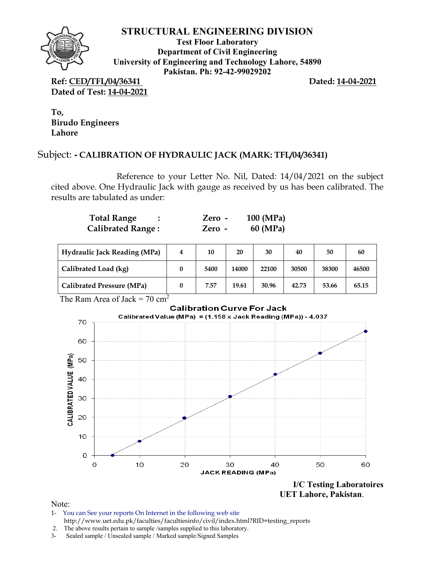

## **STRUCTURAL ENGINEERING DIVISION**

**Test Floor Laboratory Department of Civil Engineering University of Engineering and Technology Lahore, 54890 Pakistan. Ph: 92-42-99029202** 

**Ref: CED/TFL/04/36341 Dated: 14-04-2021 Dated of Test: 14-04-2021** 

**To, Birudo Engineers Lahore** 

## Subject: **- CALIBRATION OF HYDRAULIC JACK (MARK: TFL/04/36341)**

Reference to your Letter No. Nil, Dated: 14/04/2021 on the subject cited above. One Hydraulic Jack with gauge as received by us has been calibrated. The results are tabulated as under:

| <b>Total Range</b>       | Zero - | $100 \ (MPa)$ |
|--------------------------|--------|---------------|
| <b>Calibrated Range:</b> | Zero - | 60 (MPa)      |

| <b>Hydraulic Jack Reading (MPa)</b> | 4 | 10   | 20    | 30    | 40    | 50    | 60    |
|-------------------------------------|---|------|-------|-------|-------|-------|-------|
| Calibrated Load (kg)                |   | 5400 | 14000 | 22100 | 30500 | 38300 | 46500 |
| <b>Calibrated Pressure (MPa)</b>    |   | 7.57 | 19.61 | 30.96 | 42.73 | 53.66 | 65.15 |

The Ram Area of Jack =  $70 \text{ cm}^2$ 

### **Calibration Curve For Jack**



 **UET Lahore, Pakistan**.

Note:

1- You can See your reports On Internet in the following web site http://www.uet.edu.pk/faculties/facultiesinfo/civil/index.html?RID=testing\_reports

3- Sealed sample / Unsealed sample / Marked sample/Signed Samples

 <sup>2.</sup> The above results pertain to sample /samples supplied to this laboratory.